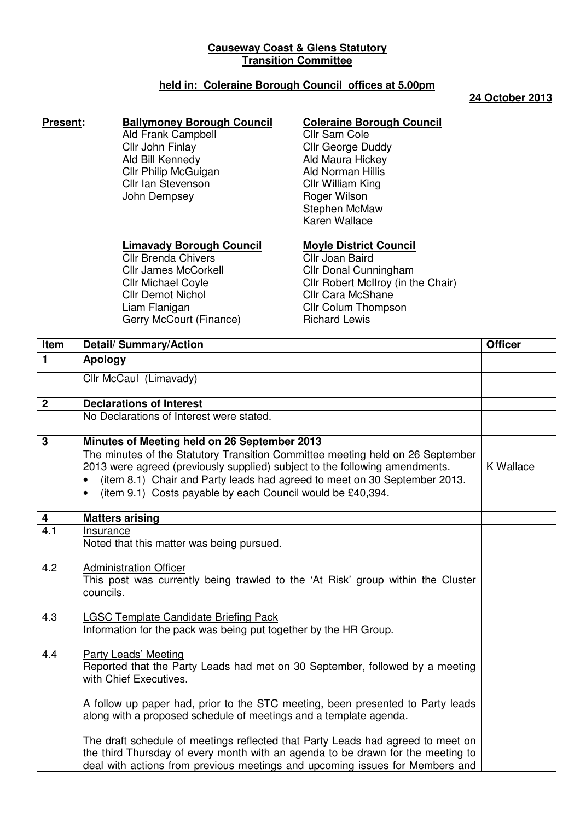# **Causeway Coast & Glens Statutory Transition Committee**

# **held in: Coleraine Borough Council offices at 5.00pm**

### **24 October 2013**

### **Present:** Ballymoney Borough Council

Ald Frank Campbell Cllr John Finlay Ald Bill Kennedy Cllr Philip McGuigan Cllr Ian Stevenson John Dempsey

# **Coleraine Borough Council**

Cllr Sam Cole Cllr George Duddy Ald Maura Hickey Ald Norman Hillis Cllr William King Roger Wilson Stephen McMaw Karen Wallace

## **Limavady Borough Council**

Cllr Brenda Chivers Cllr James McCorkell Cllr Michael Coyle Cllr Demot Nichol Liam Flanigan Gerry McCourt (Finance)

## **Moyle District Council**

Cllr Joan Baird Cllr Donal Cunningham Cllr Robert McIlroy (in the Chair) Cllr Cara McShane Cllr Colum Thompson Richard Lewis

| Item           | <b>Detail/Summary/Action</b>                                                                                                                                                                                                                                                                                          | <b>Officer</b> |
|----------------|-----------------------------------------------------------------------------------------------------------------------------------------------------------------------------------------------------------------------------------------------------------------------------------------------------------------------|----------------|
| $\mathbf{1}$   | Apology                                                                                                                                                                                                                                                                                                               |                |
|                | Cllr McCaul (Limavady)                                                                                                                                                                                                                                                                                                |                |
| 2 <sup>1</sup> | <b>Declarations of Interest</b>                                                                                                                                                                                                                                                                                       |                |
|                | No Declarations of Interest were stated.                                                                                                                                                                                                                                                                              |                |
| 3              | Minutes of Meeting held on 26 September 2013                                                                                                                                                                                                                                                                          |                |
|                | The minutes of the Statutory Transition Committee meeting held on 26 September<br>2013 were agreed (previously supplied) subject to the following amendments.<br>(item 8.1) Chair and Party leads had agreed to meet on 30 September 2013.<br>$\bullet$<br>(item 9.1) Costs payable by each Council would be £40,394. | K Wallace      |
| 4              | <b>Matters arising</b>                                                                                                                                                                                                                                                                                                |                |
| 4.1            | Insurance<br>Noted that this matter was being pursued.                                                                                                                                                                                                                                                                |                |
| 4.2            | <b>Administration Officer</b><br>This post was currently being trawled to the 'At Risk' group within the Cluster<br>councils.                                                                                                                                                                                         |                |
| 4.3            | <b>LGSC Template Candidate Briefing Pack</b><br>Information for the pack was being put together by the HR Group.                                                                                                                                                                                                      |                |
| 4.4            | Party Leads' Meeting<br>Reported that the Party Leads had met on 30 September, followed by a meeting<br>with Chief Executives.                                                                                                                                                                                        |                |
|                | A follow up paper had, prior to the STC meeting, been presented to Party leads<br>along with a proposed schedule of meetings and a template agenda.                                                                                                                                                                   |                |
|                | The draft schedule of meetings reflected that Party Leads had agreed to meet on<br>the third Thursday of every month with an agenda to be drawn for the meeting to<br>deal with actions from previous meetings and upcoming issues for Members and                                                                    |                |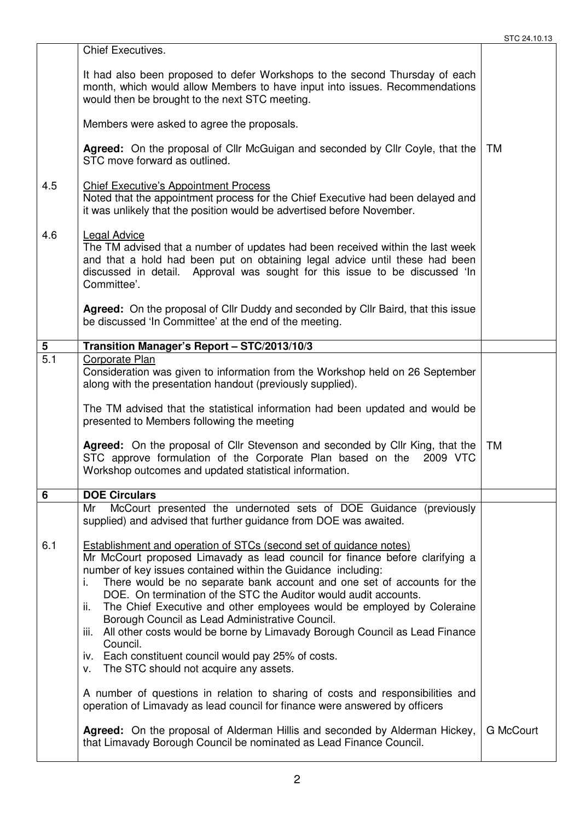|                  | <b>Chief Executives.</b>                                                                                                                                                                                                                                                                                                                                                                                                                                                                                                                                                                                                                                                                                                |                  |
|------------------|-------------------------------------------------------------------------------------------------------------------------------------------------------------------------------------------------------------------------------------------------------------------------------------------------------------------------------------------------------------------------------------------------------------------------------------------------------------------------------------------------------------------------------------------------------------------------------------------------------------------------------------------------------------------------------------------------------------------------|------------------|
|                  | It had also been proposed to defer Workshops to the second Thursday of each<br>month, which would allow Members to have input into issues. Recommendations<br>would then be brought to the next STC meeting.                                                                                                                                                                                                                                                                                                                                                                                                                                                                                                            |                  |
|                  | Members were asked to agree the proposals.                                                                                                                                                                                                                                                                                                                                                                                                                                                                                                                                                                                                                                                                              |                  |
|                  | <b>Agreed:</b> On the proposal of Cllr McGuigan and seconded by Cllr Coyle, that the<br>STC move forward as outlined.                                                                                                                                                                                                                                                                                                                                                                                                                                                                                                                                                                                                   | <b>TM</b>        |
| 4.5              | <b>Chief Executive's Appointment Process</b><br>Noted that the appointment process for the Chief Executive had been delayed and<br>it was unlikely that the position would be advertised before November.                                                                                                                                                                                                                                                                                                                                                                                                                                                                                                               |                  |
| 4.6              | <b>Legal Advice</b><br>The TM advised that a number of updates had been received within the last week<br>and that a hold had been put on obtaining legal advice until these had been<br>discussed in detail. Approval was sought for this issue to be discussed 'In<br>Committee'.                                                                                                                                                                                                                                                                                                                                                                                                                                      |                  |
|                  | Agreed: On the proposal of Cllr Duddy and seconded by Cllr Baird, that this issue<br>be discussed 'In Committee' at the end of the meeting.                                                                                                                                                                                                                                                                                                                                                                                                                                                                                                                                                                             |                  |
| $\overline{5}$   | Transition Manager's Report - STC/2013/10/3                                                                                                                                                                                                                                                                                                                                                                                                                                                                                                                                                                                                                                                                             |                  |
| $\overline{5.1}$ | Corporate Plan<br>Consideration was given to information from the Workshop held on 26 September<br>along with the presentation handout (previously supplied).                                                                                                                                                                                                                                                                                                                                                                                                                                                                                                                                                           |                  |
|                  | The TM advised that the statistical information had been updated and would be<br>presented to Members following the meeting                                                                                                                                                                                                                                                                                                                                                                                                                                                                                                                                                                                             |                  |
|                  | Agreed: On the proposal of Cllr Stevenson and seconded by Cllr King, that the<br>STC approve formulation of the Corporate Plan based on the 2009 VTC<br>Workshop outcomes and updated statistical information.                                                                                                                                                                                                                                                                                                                                                                                                                                                                                                          | <b>TM</b>        |
| 6                | <b>DOE Circulars</b>                                                                                                                                                                                                                                                                                                                                                                                                                                                                                                                                                                                                                                                                                                    |                  |
|                  | McCourt presented the undernoted sets of DOE Guidance (previously<br>Mr<br>supplied) and advised that further guidance from DOE was awaited.                                                                                                                                                                                                                                                                                                                                                                                                                                                                                                                                                                            |                  |
| 6.1              | <b>Establishment and operation of STCs (second set of guidance notes)</b><br>Mr McCourt proposed Limavady as lead council for finance before clarifying a<br>number of key issues contained within the Guidance including:<br>There would be no separate bank account and one set of accounts for the<br>DOE. On termination of the STC the Auditor would audit accounts.<br>The Chief Executive and other employees would be employed by Coleraine<br>ii.<br>Borough Council as Lead Administrative Council.<br>All other costs would be borne by Limavady Borough Council as Lead Finance<br>iii.<br>Council.<br>iv. Each constituent council would pay 25% of costs.<br>The STC should not acquire any assets.<br>v. |                  |
|                  | A number of questions in relation to sharing of costs and responsibilities and<br>operation of Limavady as lead council for finance were answered by officers                                                                                                                                                                                                                                                                                                                                                                                                                                                                                                                                                           |                  |
|                  | Agreed: On the proposal of Alderman Hillis and seconded by Alderman Hickey,<br>that Limavady Borough Council be nominated as Lead Finance Council.                                                                                                                                                                                                                                                                                                                                                                                                                                                                                                                                                                      | <b>G McCourt</b> |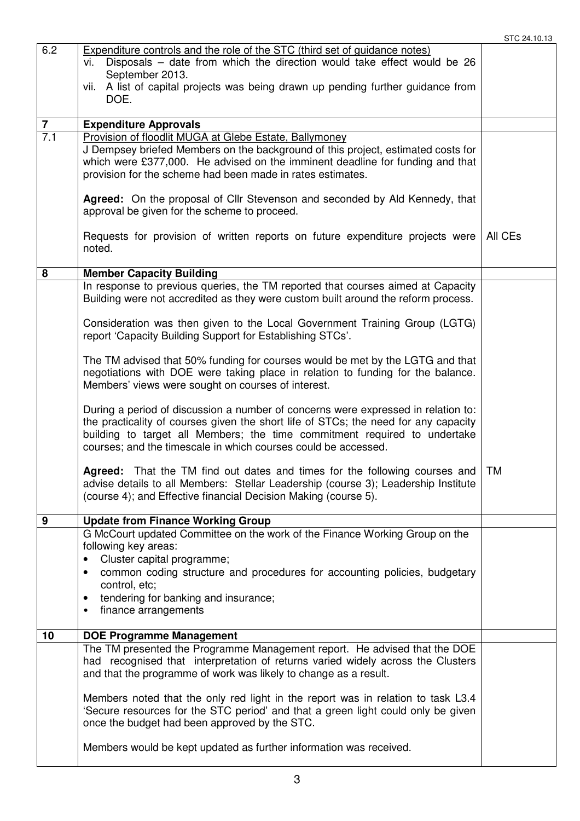| 6.2            | <b>Expenditure controls and the role of the STC (third set of guidance notes)</b>                                                                            |           |
|----------------|--------------------------------------------------------------------------------------------------------------------------------------------------------------|-----------|
|                | Disposals - date from which the direction would take effect would be 26<br>vi.                                                                               |           |
|                | September 2013.                                                                                                                                              |           |
|                | vii. A list of capital projects was being drawn up pending further guidance from                                                                             |           |
|                | DOE.                                                                                                                                                         |           |
| $\overline{7}$ | <b>Expenditure Approvals</b>                                                                                                                                 |           |
| 7.1            | Provision of floodlit MUGA at Glebe Estate, Ballymoney                                                                                                       |           |
|                | J Dempsey briefed Members on the background of this project, estimated costs for                                                                             |           |
|                | which were £377,000. He advised on the imminent deadline for funding and that                                                                                |           |
|                | provision for the scheme had been made in rates estimates.                                                                                                   |           |
|                |                                                                                                                                                              |           |
|                | Agreed: On the proposal of Cllr Stevenson and seconded by Ald Kennedy, that                                                                                  |           |
|                | approval be given for the scheme to proceed.                                                                                                                 |           |
|                | Requests for provision of written reports on future expenditure projects were                                                                                | All CEs   |
|                | noted.                                                                                                                                                       |           |
|                |                                                                                                                                                              |           |
| 8              | <b>Member Capacity Building</b>                                                                                                                              |           |
|                | In response to previous queries, the TM reported that courses aimed at Capacity                                                                              |           |
|                | Building were not accredited as they were custom built around the reform process.                                                                            |           |
|                |                                                                                                                                                              |           |
|                | Consideration was then given to the Local Government Training Group (LGTG)                                                                                   |           |
|                | report 'Capacity Building Support for Establishing STCs'.                                                                                                    |           |
|                | The TM advised that 50% funding for courses would be met by the LGTG and that                                                                                |           |
|                | negotiations with DOE were taking place in relation to funding for the balance.                                                                              |           |
|                | Members' views were sought on courses of interest.                                                                                                           |           |
|                |                                                                                                                                                              |           |
|                | During a period of discussion a number of concerns were expressed in relation to:                                                                            |           |
|                | the practicality of courses given the short life of STCs; the need for any capacity                                                                          |           |
|                | building to target all Members; the time commitment required to undertake<br>courses; and the timescale in which courses could be accessed.                  |           |
|                |                                                                                                                                                              |           |
|                | <b>Agreed:</b> That the TM find out dates and times for the following courses and                                                                            | <b>TM</b> |
|                | advise details to all Members: Stellar Leadership (course 3); Leadership Institute                                                                           |           |
|                | (course 4); and Effective financial Decision Making (course 5).                                                                                              |           |
|                |                                                                                                                                                              |           |
| 9              | <b>Update from Finance Working Group</b>                                                                                                                     |           |
|                | G McCourt updated Committee on the work of the Finance Working Group on the<br>following key areas:                                                          |           |
|                | Cluster capital programme;                                                                                                                                   |           |
|                | common coding structure and procedures for accounting policies, budgetary<br>$\bullet$                                                                       |           |
|                | control, etc;                                                                                                                                                |           |
|                | tendering for banking and insurance;<br>$\bullet$                                                                                                            |           |
|                | finance arrangements<br>٠                                                                                                                                    |           |
|                |                                                                                                                                                              |           |
| 10             | <b>DOE Programme Management</b>                                                                                                                              |           |
|                | The TM presented the Programme Management report. He advised that the DOE<br>had recognised that interpretation of returns varied widely across the Clusters |           |
|                | and that the programme of work was likely to change as a result.                                                                                             |           |
|                |                                                                                                                                                              |           |
|                | Members noted that the only red light in the report was in relation to task L3.4                                                                             |           |
|                | 'Secure resources for the STC period' and that a green light could only be given                                                                             |           |
|                | once the budget had been approved by the STC.                                                                                                                |           |
|                | Members would be kept updated as further information was received.                                                                                           |           |
|                |                                                                                                                                                              |           |